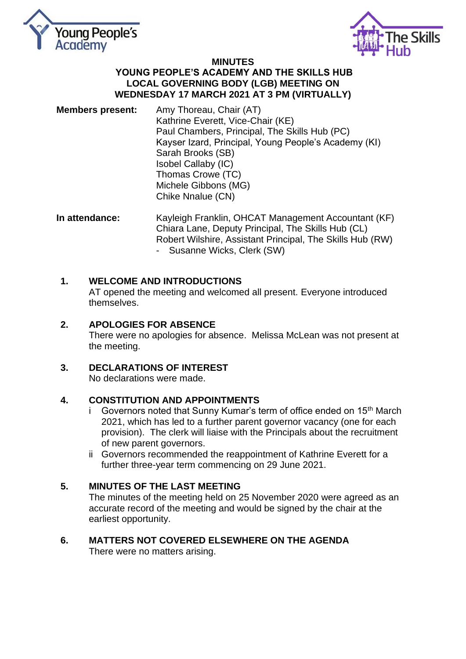



### **MINUTES YOUNG PEOPLE'S ACADEMY AND THE SKILLS HUB LOCAL GOVERNING BODY (LGB) MEETING ON WEDNESDAY 17 MARCH 2021 AT 3 PM (VIRTUALLY)**

**Members present:** Amy Thoreau, Chair (AT) Kathrine Everett, Vice-Chair (KE) Paul Chambers, Principal, The Skills Hub (PC) Kayser Izard, Principal, Young People's Academy (KI) Sarah Brooks (SB) Isobel Callaby (IC) Thomas Crowe (TC) Michele Gibbons (MG) Chike Nnalue (CN)

**In attendance:** Kayleigh Franklin, OHCAT Management Accountant (KF) Chiara Lane, Deputy Principal, The Skills Hub (CL) Robert Wilshire, Assistant Principal, The Skills Hub (RW) - Susanne Wicks, Clerk (SW)

# **1. WELCOME AND INTRODUCTIONS**

AT opened the meeting and welcomed all present. Everyone introduced themselves.

# **2. APOLOGIES FOR ABSENCE**

There were no apologies for absence. Melissa McLean was not present at the meeting.

# **3. DECLARATIONS OF INTEREST**

No declarations were made.

### **4. CONSTITUTION AND APPOINTMENTS**

- i Governors noted that Sunny Kumar's term of office ended on 15<sup>th</sup> March 2021, which has led to a further parent governor vacancy (one for each provision). The clerk will liaise with the Principals about the recruitment of new parent governors.
- ii Governors recommended the reappointment of Kathrine Everett for a further three-year term commencing on 29 June 2021.

### **5. MINUTES OF THE LAST MEETING**

The minutes of the meeting held on 25 November 2020 were agreed as an accurate record of the meeting and would be signed by the chair at the earliest opportunity.

**6. MATTERS NOT COVERED ELSEWHERE ON THE AGENDA**  There were no matters arising.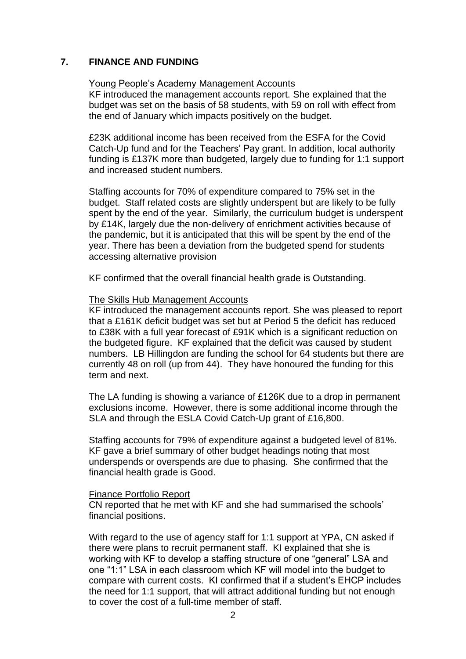### **7. FINANCE AND FUNDING**

### Young People's Academy Management Accounts

KF introduced the management accounts report. She explained that the budget was set on the basis of 58 students, with 59 on roll with effect from the end of January which impacts positively on the budget.

£23K additional income has been received from the ESFA for the Covid Catch-Up fund and for the Teachers' Pay grant. In addition, local authority funding is £137K more than budgeted, largely due to funding for 1:1 support and increased student numbers.

Staffing accounts for 70% of expenditure compared to 75% set in the budget. Staff related costs are slightly underspent but are likely to be fully spent by the end of the year. Similarly, the curriculum budget is underspent by £14K, largely due the non-delivery of enrichment activities because of the pandemic, but it is anticipated that this will be spent by the end of the year. There has been a deviation from the budgeted spend for students accessing alternative provision

KF confirmed that the overall financial health grade is Outstanding.

#### The Skills Hub Management Accounts

KF introduced the management accounts report. She was pleased to report that a £161K deficit budget was set but at Period 5 the deficit has reduced to £38K with a full year forecast of £91K which is a significant reduction on the budgeted figure. KF explained that the deficit was caused by student numbers. LB Hillingdon are funding the school for 64 students but there are currently 48 on roll (up from 44). They have honoured the funding for this term and next.

The LA funding is showing a variance of £126K due to a drop in permanent exclusions income. However, there is some additional income through the SLA and through the ESLA Covid Catch-Up grant of £16,800.

Staffing accounts for 79% of expenditure against a budgeted level of 81%. KF gave a brief summary of other budget headings noting that most underspends or overspends are due to phasing. She confirmed that the financial health grade is Good.

#### Finance Portfolio Report

CN reported that he met with KF and she had summarised the schools' financial positions.

With regard to the use of agency staff for 1:1 support at YPA, CN asked if there were plans to recruit permanent staff. KI explained that she is working with KF to develop a staffing structure of one "general" LSA and one "1:1" LSA in each classroom which KF will model into the budget to compare with current costs. KI confirmed that if a student's EHCP includes the need for 1:1 support, that will attract additional funding but not enough to cover the cost of a full-time member of staff.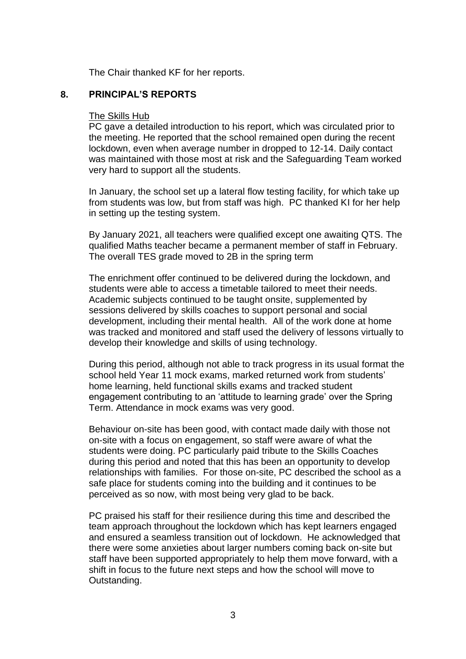The Chair thanked KF for her reports.

### **8. PRINCIPAL'S REPORTS**

#### The Skills Hub

PC gave a detailed introduction to his report, which was circulated prior to the meeting. He reported that the school remained open during the recent lockdown, even when average number in dropped to 12-14. Daily contact was maintained with those most at risk and the Safeguarding Team worked very hard to support all the students.

In January, the school set up a lateral flow testing facility, for which take up from students was low, but from staff was high. PC thanked KI for her help in setting up the testing system.

By January 2021, all teachers were qualified except one awaiting QTS. The qualified Maths teacher became a permanent member of staff in February. The overall TES grade moved to 2B in the spring term

The enrichment offer continued to be delivered during the lockdown, and students were able to access a timetable tailored to meet their needs. Academic subjects continued to be taught onsite, supplemented by sessions delivered by skills coaches to support personal and social development, including their mental health. All of the work done at home was tracked and monitored and staff used the delivery of lessons virtually to develop their knowledge and skills of using technology.

During this period, although not able to track progress in its usual format the school held Year 11 mock exams, marked returned work from students' home learning, held functional skills exams and tracked student engagement contributing to an 'attitude to learning grade' over the Spring Term. Attendance in mock exams was very good.

Behaviour on-site has been good, with contact made daily with those not on-site with a focus on engagement, so staff were aware of what the students were doing. PC particularly paid tribute to the Skills Coaches during this period and noted that this has been an opportunity to develop relationships with families. For those on-site, PC described the school as a safe place for students coming into the building and it continues to be perceived as so now, with most being very glad to be back.

PC praised his staff for their resilience during this time and described the team approach throughout the lockdown which has kept learners engaged and ensured a seamless transition out of lockdown. He acknowledged that there were some anxieties about larger numbers coming back on-site but staff have been supported appropriately to help them move forward, with a shift in focus to the future next steps and how the school will move to Outstanding.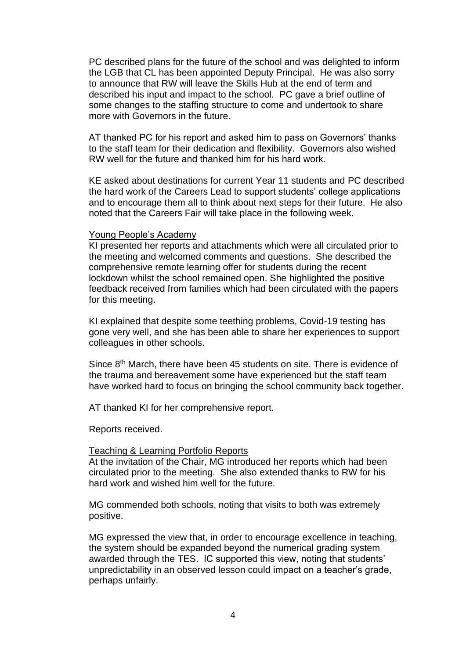PC described plans for the future of the school and was delighted to inform the LGB that CL has been appointed Deputy Principal. He was also sorry to announce that RW will leave the Skills Hub at the end of term and described his input and impact to the school. PC gave a brief outline of some changes to the staffing structure to come and undertook to share more with Governors in the future.

AT thanked PC for his report and asked him to pass on Governors' thanks to the staff team for their dedication and flexibility. Governors also wished RW well for the future and thanked him for his hard work.

KE asked about destinations for current Year 11 students and PC described the hard work of the Careers Lead to support students' college applications and to encourage them all to think about next steps for their future. He also noted that the Careers Fair will take place in the following week.

#### Young People's Academy

KI presented her reports and attachments which were all circulated prior to the meeting and welcomed comments and questions. She described the comprehensive remote learning offer for students during the recent lockdown whilst the school remained open. She highlighted the positive feedback received from families which had been circulated with the papers for this meeting.

KI explained that despite some teething problems, Covid-19 testing has gone very well, and she has been able to share her experiences to support colleagues in other schools.

Since 8<sup>th</sup> March, there have been 45 students on site. There is evidence of the trauma and bereavement some have experienced but the staff team have worked hard to focus on bringing the school community back together.

AT thanked KI for her comprehensive report.

Reports received.

#### Teaching & Learning Portfolio Reports

At the invitation of the Chair, MG introduced her reports which had been circulated prior to the meeting. She also extended thanks to RW for his hard work and wished him well for the future.

MG commended both schools, noting that visits to both was extremely positive.

MG expressed the view that, in order to encourage excellence in teaching, the system should be expanded beyond the numerical grading system awarded through the TES. IC supported this view, noting that students' unpredictability in an observed lesson could impact on a teacher's grade, perhaps unfairly.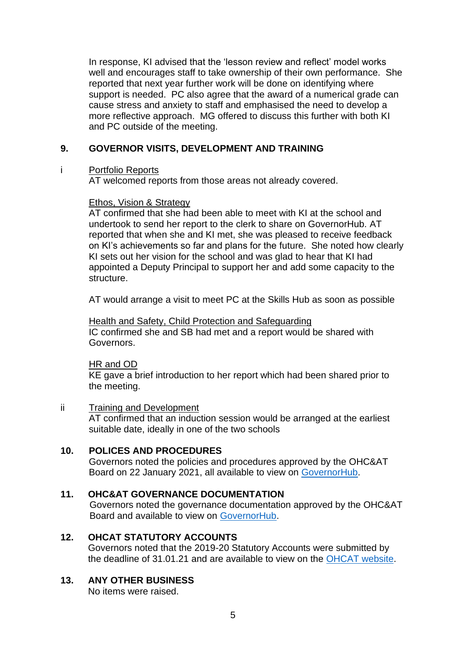In response, KI advised that the 'lesson review and reflect' model works well and encourages staff to take ownership of their own performance. She reported that next year further work will be done on identifying where support is needed. PC also agree that the award of a numerical grade can cause stress and anxiety to staff and emphasised the need to develop a more reflective approach. MG offered to discuss this further with both KI and PC outside of the meeting.

# **9. GOVERNOR VISITS, DEVELOPMENT AND TRAINING**

### i Portfolio Reports

AT welcomed reports from those areas not already covered.

# Ethos, Vision & Strategy

AT confirmed that she had been able to meet with KI at the school and undertook to send her report to the clerk to share on GovernorHub. AT reported that when she and KI met, she was pleased to receive feedback on KI's achievements so far and plans for the future. She noted how clearly KI sets out her vision for the school and was glad to hear that KI had appointed a Deputy Principal to support her and add some capacity to the structure.

AT would arrange a visit to meet PC at the Skills Hub as soon as possible

Health and Safety, Child Protection and Safeguarding IC confirmed she and SB had met and a report would be shared with Governors.

### HR and OD

KE gave a brief introduction to her report which had been shared prior to the meeting.

# ii Training and Development

AT confirmed that an induction session would be arranged at the earliest suitable date, ideally in one of the two schools

# **10. POLICES AND PROCEDURES**

Governors noted the policies and procedures approved by the OHC&AT Board on 22 January 2021, all available to view on [GovernorHub.](https://app.governorhub.com/s/orchardhillcollegeacademytrust/resources/5d9f088b0f950f83971c88c8)

# **11. OHC&AT GOVERNANCE DOCUMENTATION**

Governors noted the governance documentation approved by the OHC&AT Board and available to view on [GovernorHub.](https://app.governorhub.com/s/orchardhillcollegeacademytrust/resources/5d27498667a67c3d2d1109ed)

# **12. OHCAT STATUTORY ACCOUNTS**

Governors noted that the 2019-20 Statutory Accounts were submitted by the deadline of 31.01.21 and are available to view on the [OHCAT website.](https://www.ohcat.org/governance/ohcat-statutory-information/)

# **13. ANY OTHER BUSINESS**

No items were raised.